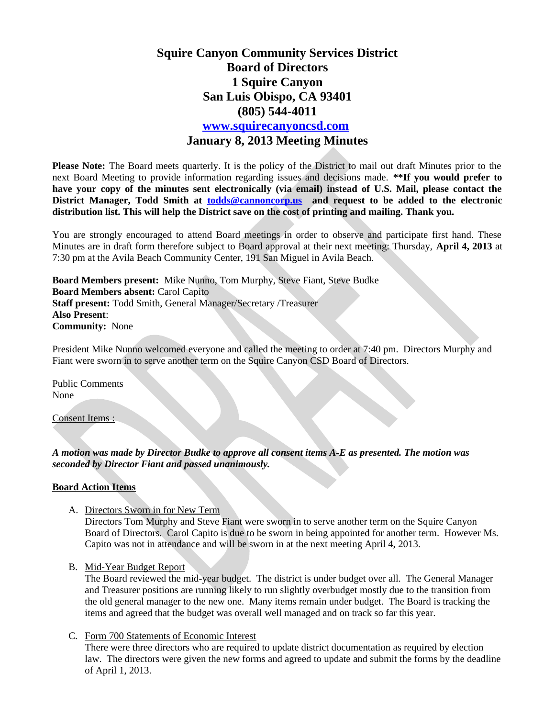# **Squire Canyon Community Services District Board of Directors 1 Squire Canyon San Luis Obispo, CA 93401 (805) 544-4011 [www.squirecanyoncsd.com](http://www.squirecanyoncsd.com/) January 8, 2013 Meeting Minutes**

**Please Note:** The Board meets quarterly. It is the policy of the District to mail out draft Minutes prior to the next Board Meeting to provide information regarding issues and decisions made. **\*\*If you would prefer to have your copy of the minutes sent electronically (via email) instead of U.S. Mail, please contact the District Manager, Todd Smith at [todds@cannoncorp.us](mailto:todds@cannoncorp.us) and request to be added to the electronic distribution list. This will help the District save on the cost of printing and mailing. Thank you.** 

You are strongly encouraged to attend Board meetings in order to observe and participate first hand. These Minutes are in draft form therefore subject to Board approval at their next meeting: Thursday, **April 4, 2013** at 7:30 pm at the Avila Beach Community Center, 191 San Miguel in Avila Beach.

**Board Members present:** Mike Nunno, Tom Murphy, Steve Fiant, Steve Budke **Board Members absent:** Carol Capito **Staff present:** Todd Smith, General Manager/Secretary /Treasurer **Also Present**: **Community:** None

President Mike Nunno welcomed everyone and called the meeting to order at 7:40 pm. Directors Murphy and Fiant were sworn in to serve another term on the Squire Canyon CSD Board of Directors.

Public Comments None

Consent Items :

*A motion was made by Director Budke to approve all consent items A-E as presented. The motion was seconded by Director Fiant and passed unanimously.*

#### **Board Action Items**

A. Directors Sworn in for New Term

Directors Tom Murphy and Steve Fiant were sworn in to serve another term on the Squire Canyon Board of Directors. Carol Capito is due to be sworn in being appointed for another term. However Ms. Capito was not in attendance and will be sworn in at the next meeting April 4, 2013.

B. Mid-Year Budget Report

The Board reviewed the mid-year budget. The district is under budget over all. The General Manager and Treasurer positions are running likely to run slightly overbudget mostly due to the transition from the old general manager to the new one. Many items remain under budget. The Board is tracking the items and agreed that the budget was overall well managed and on track so far this year.

C. Form 700 Statements of Economic Interest

There were three directors who are required to update district documentation as required by election law. The directors were given the new forms and agreed to update and submit the forms by the deadline of April 1, 2013.